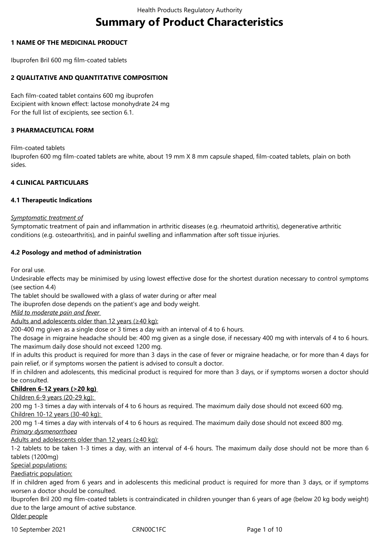# **Summary of Product Characteristics**

# **1 NAME OF THE MEDICINAL PRODUCT**

Ibuprofen Bril 600 mg film-coated tablets

# **2 QUALITATIVE AND QUANTITATIVE COMPOSITION**

Each film-coated tablet contains 600 mg ibuprofen Excipient with known effect: lactose monohydrate 24 mg For the full list of excipients, see section 6.1.

# **3 PHARMACEUTICAL FORM**

Film-coated tablets

Ibuprofen 600 mg film-coated tablets are white, about 19 mm X 8 mm capsule shaped, film-coated tablets, plain on both sides.

# **4 CLINICAL PARTICULARS**

#### **4.1 Therapeutic Indications**

#### *Symptomatic treatment of*

Symptomatic treatment of pain and inflammation in arthritic diseases (e.g. rheumatoid arthritis), degenerative arthritic conditions (e.g. osteoarthritis), and in painful swelling and inflammation after soft tissue injuries.

# **4.2 Posology and method of administration**

For oral use.

Undesirable effects may be minimised by using lowest effective dose for the shortest duration necessary to control symptoms (see section 4.4)

The tablet should be swallowed with a glass of water during or after meal

The ibuprofen dose depends on the patient's age and body weight.

*Mild to moderate pain and fever* 

Adults and adolescents older than 12 years (≥40 kg):

200-400 mg given as a single dose or 3 times a day with an interval of 4 to 6 hours.

The dosage in migraine headache should be: 400 mg given as a single dose, if necessary 400 mg with intervals of 4 to 6 hours. The maximum daily dose should not exceed 1200 mg.

If in adults this product is required for more than 3 days in the case of fever or migraine headache, or for more than 4 days for pain relief, or if symptoms worsen the patient is advised to consult a doctor.

If in children and adolescents, this medicinal product is required for more than 3 days, or if symptoms worsen a doctor should be consulted.

# **Children 6-12 years (>20 kg)**

Children 6-9 years (20-29 kg):

200 mg 1-3 times a day with intervals of 4 to 6 hours as required. The maximum daily dose should not exceed 600 mg. Children 10-12 years (30-40 kg):

200 mg 1-4 times a day with intervals of 4 to 6 hours as required. The maximum daily dose should not exceed 800 mg. *Primary dysmenorrhoea*

Adults and adolescents older than 12 years (≥40 kg):

1-2 tablets to be taken 1-3 times a day, with an interval of 4-6 hours. The maximum daily dose should not be more than 6 tablets (1200mg)

Special populations:

#### Paediatric population:

If in children aged from 6 years and in adolescents this medicinal product is required for more than 3 days, or if symptoms worsen a doctor should be consulted.

Ibuprofen Bril 200 mg film-coated tablets is contraindicated in children younger than 6 years of age (below 20 kg body weight) due to the large amount of active substance. Older people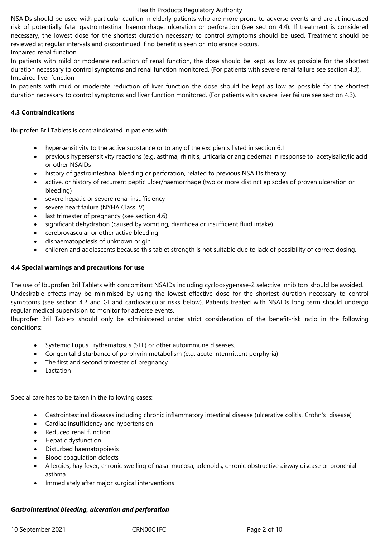NSAIDs should be used with particular caution in elderly patients who are more prone to adverse events and are at increased risk of potentially fatal gastrointestinal haemorrhage, ulceration or perforation (see section 4.4). If treatment is considered necessary, the lowest dose for the shortest duration necessary to control symptoms should be used. Treatment should be reviewed at regular intervals and discontinued if no benefit is seen or intolerance occurs.

#### Impaired renal function

In patients with mild or moderate reduction of renal function, the dose should be kept as low as possible for the shortest duration necessary to control symptoms and renal function monitored. (For patients with severe renal failure see section 4.3). Impaired liver function

In patients with mild or moderate reduction of liver function the dose should be kept as low as possible for the shortest duration necessary to control symptoms and liver function monitored. (For patients with severe liver failure see section 4.3).

### **4.3 Contraindications**

Ibuprofen Bril Tablets is contraindicated in patients with:

- hypersensitivity to the active substance or to any of the excipients listed in section 6.1
- previous hypersensitivity reactions (e.g. asthma, rhinitis, urticaria or angioedema) in response to acetylsalicylic acid or other NSAIDs
- history of gastrointestinal bleeding or perforation, related to previous NSAIDs therapy
- active, or history of recurrent peptic ulcer/haemorrhage (two or more distinct episodes of proven ulceration or bleeding)
- severe hepatic or severe renal insufficiency
- severe heart failure (NYHA Class IV)
- last trimester of pregnancy (see section 4.6)
- significant dehydration (caused by vomiting, diarrhoea or insufficient fluid intake)
- cerebrovascular or other active bleeding
- dishaematopoiesis of unknown origin
- children and adolescents because this tablet strength is not suitable due to lack of possibility of correct dosing.

### **4.4 Special warnings and precautions for use**

The use of Ibuprofen Bril Tablets with concomitant NSAIDs including cyclooxygenase-2 selective inhibitors should be avoided. Undesirable effects may be minimised by using the lowest effective dose for the shortest duration necessary to control symptoms (see section 4.2 and GI and cardiovascular risks below). Patients treated with NSAIDs long term should undergo regular medical supervision to monitor for adverse events.

Ibuprofen Bril Tablets should only be administered under strict consideration of the benefit-risk ratio in the following conditions:

- Systemic Lupus Erythematosus (SLE) or other autoimmune diseases.
- Congenital disturbance of porphyrin metabolism (e.g. acute intermittent porphyria)
- The first and second trimester of pregnancy
- Lactation

Special care has to be taken in the following cases:

- Gastrointestinal diseases including chronic inflammatory intestinal disease (ulcerative colitis, Crohn's disease)
- Cardiac insufficiency and hypertension
- Reduced renal function
- Hepatic dysfunction
- Disturbed haematopoiesis
- Blood coagulation defects
- Allergies, hay fever, chronic swelling of nasal mucosa, adenoids, chronic obstructive airway disease or bronchial asthma
- Immediately after major surgical interventions

#### *Gastrointestinal bleeding, ulceration and perforation*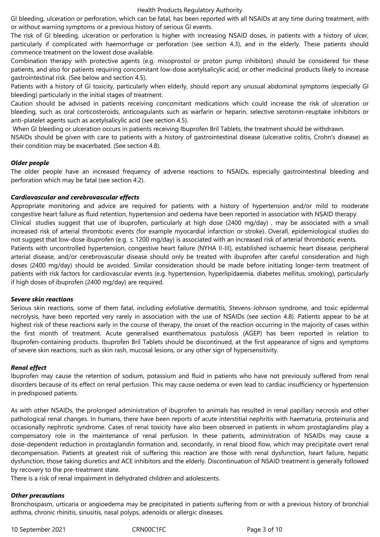GI bleeding, ulceration or perforation, which can be fatal, has been reported with all NSAIDs at any time during treatment, with or without warning symptoms or a previous history of serious GI events.

The risk of GI bleeding, ulceration or perforation is higher with increasing NSAID doses, in patients with a history of ulcer, particularly if complicated with haemorrhage or perforation (see section 4.3), and in the elderly. These patients should commence treatment on the lowest dose available.

Combination therapy with protective agents (e.g. misoprostol or proton pump inhibitors) should be considered for these patients, and also for patients requiring concomitant low-dose acetylsalicylic acid, or other medicinal products likely to increase gastrointestinal risk. (See below and section 4.5).

Patients with a history of GI toxicity, particularly when elderly, should report any unusual abdominal symptoms (especially GI bleeding) particularly in the initial stages of treatment.

Caution should be advised in patients receiving concomitant medications which could increase the risk of ulceration or bleeding, such as oral corticosteroids, anticoagulants such as warfarin or heparin, selective serotonin-reuptake inhibitors or anti-platelet agents such as acetylsalicylic acid (see section 4.5).

When GI bleeding or ulceration occurs in patients receiving Ibuprofen Bril Tablets, the treatment should be withdrawn.

NSAIDs should be given with care to patients with a history of gastrointestinal disease (ulcerative colitis, Crohn's disease) as their condition may be exacerbated. (See section 4.8).

# *Older people*

The older people have an increased frequency of adverse reactions to NSAIDs, especially gastrointestinal bleeding and perforation which may be fatal (see section 4.2).

#### *Cardiovascular and cerebrovascular effects*

Appropriate monitoring and advice are required for patients with a history of hypertension and/or mild to moderate congestive heart failure as fluid retention, hypertension and oedema have been reported in association with NSAID therapy. Clinical studies suggest that use of ibuprofen, particularly at high dose (2400 mg/day) , may be associated with a small increased risk of arterial thrombotic events (for example myocardial infarction or stroke). Overall, epidemiological studies do

not suggest that low-dose ibuprofen (e.g. ≤ 1200 mg/day) is associated with an increased risk of arterial thrombotic events.

Patients with uncontrolled hypertension, congestive heart failure (NYHA II-III), established ischaemic heart disease, peripheral arterial disease, and/or cerebrovascular disease should only be treated with ibuprofen after careful consideration and high doses (2400 mg/day) should be avoided. Similar consideration should be made before initiating longer-term treatment of patients with risk factors for cardiovascular events (e.g. hypertension, hyperlipidaemia, diabetes mellitus, smoking), particularly if high doses of ibuprofen (2400 mg/day) are required.

#### *Severe skin reactions*

Serious skin reactions, some of them fatal, including exfoliative dermatitis, Stevens-Johnson syndrome, and toxic epidermal necrolysis, have been reported very rarely in association with the use of NSAIDs (see section 4.8). Patients appear to be at highest risk of these reactions early in the course of therapy, the onset of the reaction occurring in the majority of cases within the first month of treatment. Acute generalised exanthematous pustulosis (AGEP) has been reported in relation to Ibuprofen-containing products. Ibuprofen Bril Tablets should be discontinued, at the first appearance of signs and symptoms of severe skin reactions, such as skin rash, mucosal lesions, or any other sign of hypersensitivity.

# *Renal effect*

Ibuprofen may cause the retention of sodium, potassium and fluid in patients who have not previously suffered from renal disorders because of its effect on renal perfusion. This may cause oedema or even lead to cardiac insufficiency or hypertension in predisposed patients.

As with other NSAIDs, the prolonged administration of ibuprofen to animals has resulted in renal papillary necrosis and other pathological renal changes. In humans, there have been reports of acute interstitial nephritis with haematuria, proteinuria and occasionally nephrotic syndrome. Cases of renal toxicity have also been observed in patients in whom prostaglandins play a compensatory role in the maintenance of renal perfusion. In these patients, administration of NSAIDs may cause a dose-dependent reduction in prostaglandin formation and, secondarily, in renal blood flow, which may precipitate overt renal decompensation. Patients at greatest risk of suffering this reaction are those with renal dysfunction, heart failure, hepatic dysfunction, those taking diuretics and ACE inhibitors and the elderly. Discontinuation of NSAID treatment is generally followed by recovery to the pre-treatment state.

There is a risk of renal impairment in dehydrated children and adolescents.

# *Other precautions*

Bronchospasm, urticaria or angioedema may be precipitated in patients suffering from or with a previous history of bronchial asthma, chronic rhinitis, sinusitis, nasal polyps, adenoids or allergic diseases.

10 September 2021 CRN00C1FC Page 3 of 10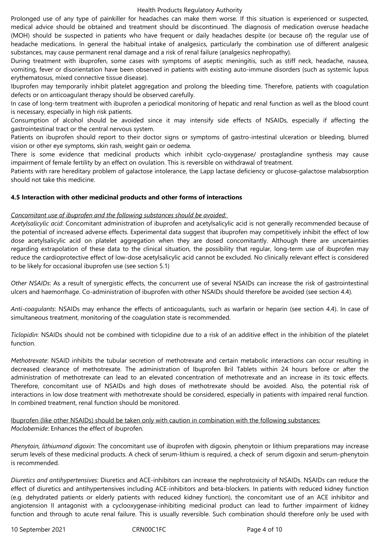Prolonged use of any type of painkiller for headaches can make them worse. If this situation is experienced or suspected, medical advice should be obtained and treatment should be discontinued. The diagnosis of medication overuse headache (MOH) should be suspected in patients who have frequent or daily headaches despite (or because of) the regular use of headache medications. In general the habitual intake of analgesics, particularly the combination use of different analgesic substances, may cause permanent renal damage and a risk of renal failure (analgesics nephropathy).

During treatment with ibuprofen, some cases with symptoms of aseptic meningitis, such as stiff neck, headache, nausea, vomiting, fever or disorientation have been observed in patients with existing auto-immune disorders (such as systemic lupus erythematosus, mixed connective tissue disease).

Ibuprofen may temporarily inhibit platelet aggregation and prolong the bleeding time. Therefore, patients with coagulation defects or on anticoagulant therapy should be observed carefully.

In case of long-term treatment with ibuprofen a periodical monitoring of hepatic and renal function as well as the blood count is necessary, especially in high risk patients.

Consumption of alcohol should be avoided since it may intensify side effects of NSAIDs, especially if affecting the gastrointestinal tract or the central nervous system.

Patients on ibuprofen should report to their doctor signs or symptoms of gastro-intestinal ulceration or bleeding, blurred vision or other eye symptoms, skin rash, weight gain or oedema.

There is some evidence that medicinal products which inhibit cyclo-oxygenase/ prostaglandine synthesis may cause impairment of female fertility by an effect on ovulation. This is reversible on withdrawal of treatment.

Patients with rare hereditary problem of galactose intolerance, the Lapp lactase deficiency or glucose-galactose malabsorption should not take this medicine.

#### **4.5 Interaction with other medicinal products and other forms of interactions**

# *Concomitant use of ibuprofen and the following substances should be avoided:*

*Acetylsalicylic acid*: Concomitant administration of ibuprofen and acetylsalicylic acid is not generally recommended because of the potential of increased adverse effects. Experimental data suggest that ibuprofen may competitively inhibit the effect of low dose acetylsalicylic acid on platelet aggregation when they are dosed concomitantly. Although there are uncertainties regarding extrapolation of these data to the clinical situation, the possibility that regular, long-term use of ibuprofen may reduce the cardioprotective effect of low-dose acetylsalicylic acid cannot be excluded. No clinically relevant effect is considered to be likely for occasional ibuprofen use (see section 5.1)

*Other NSAIDs*: As a result of synergistic effects, the concurrent use of several NSAIDs can increase the risk of gastrointestinal ulcers and haemorrhage. Co-administration of ibuprofen with other NSAIDs should therefore be avoided (see section 4.4).

*Anti-coagulants*: NSAIDs may enhance the effects of anticoagulants, such as warfarin or heparin (see section 4.4). In case of simultaneous treatment, monitoring of the coagulation state is recommended.

*Ticlopidin*: NSAIDs should not be combined with ticlopidine due to a risk of an additive effect in the inhibition of the platelet function.

*Methotrexate*: NSAID inhibits the tubular secretion of methotrexate and certain metabolic interactions can occur resulting in decreased clearance of methotrexate. The administration of Ibuprofen Bril Tablets within 24 hours before or after the administration of methotrexate can lead to an elevated concentration of methotrexate and an increase in its toxic effects. Therefore, concomitant use of NSAIDs and high doses of methotrexate should be avoided. Also, the potential risk of interactions in low dose treatment with methotrexate should be considered, especially in patients with impaired renal function. In combined treatment, renal function should be monitored.

Ibuprofen (like other NSAIDs) should be taken only with caution in combination with the following substances: *Moclobemide*: Enhances the effect of ibuprofen.

*Phenytoin, lithiumand digoxin*: The concomitant use of ibuprofen with digoxin, phenytoin or lithium preparations may increase serum levels of these medicinal products. A check of serum-lithium is required, a check of serum digoxin and serum-phenytoin is recommended.

*Diuretics and antihypertensives*: Diuretics and ACE-inhibitors can increase the nephrotoxicity of NSAIDs. NSAIDs can reduce the effect of diuretics and antihypertensives including ACE-inhibitors and beta-blockers. In patients with reduced kidney function (e.g. dehydrated patients or elderly patients with reduced kidney function), the concomitant use of an ACE inhibitor and angiotension II antagonist with a cyclooxygenase-inhibiting medicinal product can lead to further impairment of kidney function and through to acute renal failure. This is usually reversible. Such combination should therefore only be used with

10 September 2021 CRN00C1FC Page 4 of 10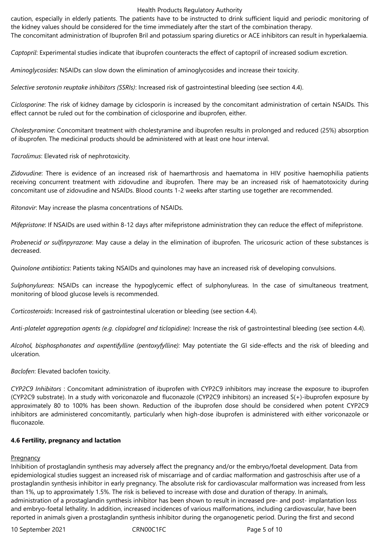caution, especially in elderly patients. The patients have to be instructed to drink sufficient liquid and periodic monitoring of the kidney values should be considered for the time immediately after the start of the combination therapy.

The concomitant administration of Ibuprofen Bril and potassium sparing diuretics or ACE inhibitors can result in hyperkalaemia.

*Captopril*: Experimental studies indicate that ibuprofen counteracts the effect of captopril of increased sodium excretion.

*Aminoglycosides*: NSAIDs can slow down the elimination of aminoglycosides and increase their toxicity.

*Selective serotonin reuptake inhibitors (SSRIs)*: Increased risk of gastrointestinal bleeding (see section 4.4).

*Ciclosporine*: The risk of kidney damage by ciclosporin is increased by the concomitant administration of certain NSAIDs. This effect cannot be ruled out for the combination of ciclosporine and ibuprofen, either.

*Cholestyramine*: Concomitant treatment with cholestyramine and ibuprofen results in prolonged and reduced (25%) absorption of ibuprofen. The medicinal products should be administered with at least one hour interval.

*Tacrolimus*: Elevated risk of nephrotoxicity.

*Zidovudine*: There is evidence of an increased risk of haemarthrosis and haematoma in HIV positive haemophilia patients receiving concurrent treatment with zidovudine and ibuprofen. There may be an increased risk of haematotoxicity during concomitant use of zidovudine and NSAIDs. Blood counts 1-2 weeks after starting use together are recommended.

*Ritonavir*: May increase the plasma concentrations of NSAIDs.

*Mifepristone*: If NSAIDs are used within 8-12 days after mifepristone administration they can reduce the effect of mifepristone.

*Probenecid or sulfinpyrazone*: May cause a delay in the elimination of ibuprofen. The uricosuric action of these substances is decreased.

*Quinolone antibiotics*: Patients taking NSAIDs and quinolones may have an increased risk of developing convulsions.

*Sulphonylureas*: NSAIDs can increase the hypoglycemic effect of sulphonylureas. In the case of simultaneous treatment, monitoring of blood glucose levels is recommended.

*Corticosteroids*: Increased risk of gastrointestinal ulceration or bleeding (see section 4.4).

*Anti-platelet aggregation agents (e.g. clopidogrel and ticlopidine):* Increase the risk of gastrointestinal bleeding (see section 4.4).

*Alcohol, bisphosphonates and oxpentifylline (pentoxyfylline):* May potentiate the GI side-effects and the risk of bleeding and ulceration.

*Baclofen*: Elevated baclofen toxicity.

*CYP2C9 Inhibitors* : Concomitant administration of ibuprofen with CYP2C9 inhibitors may increase the exposure to ibuprofen (CYP2C9 substrate). In a study with voriconazole and fluconazole (CYP2C9 inhibitors) an increased S(+)-ibuprofen exposure by approximately 80 to 100% has been shown. Reduction of the ibuprofen dose should be considered when potent CYP2C9 inhibitors are administered concomitantly, particularly when high-dose ibuprofen is administered with either voriconazole or fluconazole.

#### **4.6 Fertility, pregnancy and lactation**

# **Pregnancy**

Inhibition of prostaglandin synthesis may adversely affect the pregnancy and/or the embryo/foetal development. Data from epidemiological studies suggest an increased risk of miscarriage and of cardiac malformation and gastroschisis after use of a prostaglandin synthesis inhibitor in early pregnancy. The absolute risk for cardiovascular malformation was increased from less than 1%, up to approximately 1.5%. The risk is believed to increase with dose and duration of therapy. In animals, administration of a prostaglandin synthesis inhibitor has been shown to result in increased pre- and post- implantation loss and embryo-foetal lethality. In addition, increased incidences of various malformations, including cardiovascular, have been reported in animals given a prostaglandin synthesis inhibitor during the organogenetic period. During the first and second

10 September 2021 CRN00C1FC Page 5 of 10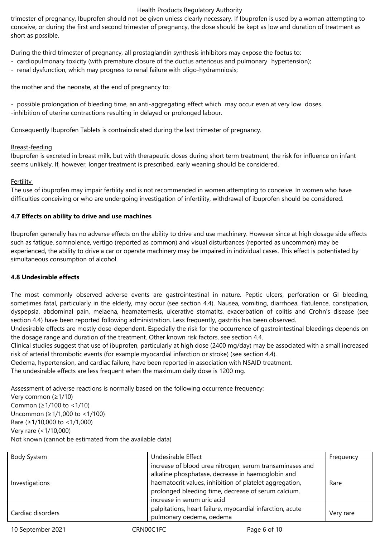trimester of pregnancy, Ibuprofen should not be given unless clearly necessary. If Ibuprofen is used by a woman attempting to conceive, or during the first and second trimester of pregnancy, the dose should be kept as low and duration of treatment as short as possible.

During the third trimester of pregnancy, all prostaglandin synthesis inhibitors may expose the foetus to:

- cardiopulmonary toxicity (with premature closure of the ductus arteriosus and pulmonary hypertension);
- renal dysfunction, which may progress to renal failure with oligo-hydramniosis;

the mother and the neonate, at the end of pregnancy to:

- possible prolongation of bleeding time, an anti-aggregating effect which may occur even at very low doses. -inhibition of uterine contractions resulting in delayed or prolonged labour.

Consequently Ibuprofen Tablets is contraindicated during the last trimester of pregnancy.

# Breast-feeding

Ibuprofen is excreted in breast milk, but with therapeutic doses during short term treatment, the risk for influence on infant seems unlikely. If, however, longer treatment is prescribed, early weaning should be considered.

#### **Fertility**

The use of ibuprofen may impair fertility and is not recommended in women attempting to conceive. In women who have difficulties conceiving or who are undergoing investigation of infertility, withdrawal of ibuprofen should be considered.

# **4.7 Effects on ability to drive and use machines**

Ibuprofen generally has no adverse effects on the ability to drive and use machinery. However since at high dosage side effects such as fatigue, somnolence, vertigo (reported as common) and visual disturbances (reported as uncommon) may be experienced, the ability to drive a car or operate machinery may be impaired in individual cases. This effect is potentiated by simultaneous consumption of alcohol.

#### **4.8 Undesirable effects**

The most commonly observed adverse events are gastrointestinal in nature. Peptic ulcers, perforation or GI bleeding, sometimes fatal, particularly in the elderly, may occur (see section 4.4). Nausea, vomiting, diarrhoea, flatulence, constipation, dyspepsia, abdominal pain, melaena, heamatemesis, ulcerative stomatits, exacerbation of colitis and Crohn's disease (see section 4.4) have been reported following administration. Less frequently, gastritis has been observed.

Undesirable effects are mostly dose-dependent. Especially the risk for the occurrence of gastrointestinal bleedings depends on the dosage range and duration of the treatment. Other known risk factors, see section 4.4.

Clinical studies suggest that use of ibuprofen, particularly at high dose (2400 mg/day) may be associated with a small increased risk of arterial thrombotic events (for example myocardial infarction or stroke) (see section 4.4).

Oedema, hypertension, and cardiac failure, have been reported in association with NSAID treatment.

The undesirable effects are less frequent when the maximum daily dose is 1200 mg.

Assessment of adverse reactions is normally based on the following occurrence frequency:

Very common (≥1/10) Common (≥1/100 to <1/10) Uncommon (≥1/1,000 to <1/100) Rare (≥1/10,000 to <1/1,000) Very rare (<1/10,000) Not known (cannot be estimated from the available data)

| Body System       | Undesirable Effect                                                                                                                                                                                                                                             | Frequency |
|-------------------|----------------------------------------------------------------------------------------------------------------------------------------------------------------------------------------------------------------------------------------------------------------|-----------|
| Investigations    | increase of blood urea nitrogen, serum transaminases and<br>alkaline phosphatase, decrease in haemoglobin and<br>haematocrit values, inhibition of platelet aggregation,<br>prolonged bleeding time, decrease of serum calcium,<br>increase in serum uric acid | Rare      |
| Cardiac disorders | palpitations, heart failure, myocardial infarction, acute<br>pulmonary oedema, oedema                                                                                                                                                                          | Very rare |

10 September 2021 CRN00C1FC CROOSENGER Page 6 of 10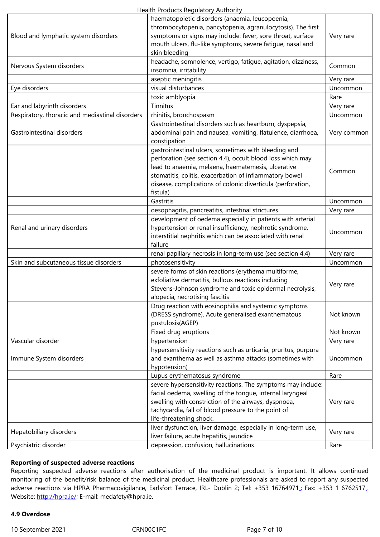| Blood and lymphatic system disorders            | symptoms or signs may include: fever, sore throat, surface      | Very rare   |
|-------------------------------------------------|-----------------------------------------------------------------|-------------|
|                                                 | mouth ulcers, flu-like symptoms, severe fatigue, nasal and      |             |
|                                                 | skin bleeding                                                   |             |
| Nervous System disorders                        | headache, somnolence, vertigo, fatigue, agitation, dizziness,   | Common      |
|                                                 | insomnia, irritability                                          |             |
|                                                 | aseptic meningitis                                              | Very rare   |
| Eye disorders                                   | visual disturbances                                             | Uncommon    |
|                                                 | toxic amblyopia                                                 | Rare        |
| Ear and labyrinth disorders                     | Tinnitus                                                        | Very rare   |
| Respiratory, thoracic and mediastinal disorders | rhinitis, bronchospasm                                          | Uncommon    |
|                                                 | Gastrointestinal disorders such as heartburn, dyspepsia,        |             |
| Gastrointestinal disorders                      | abdominal pain and nausea, vomiting, flatulence, diarrhoea,     | Very common |
|                                                 | constipation                                                    |             |
|                                                 | gastrointestinal ulcers, sometimes with bleeding and            |             |
|                                                 | perforation (see section 4.4), occult blood loss which may      |             |
|                                                 | lead to anaemia, melaena, haematemesis, ulcerative              |             |
|                                                 | stomatitis, colitis, exacerbation of inflammatory bowel         | Common      |
|                                                 | disease, complications of colonic diverticula (perforation,     |             |
|                                                 | fistula)                                                        |             |
|                                                 | Gastritis                                                       | Uncommon    |
|                                                 | oesophagitis, pancreatitis, intestinal strictures.              | Very rare   |
|                                                 | development of oedema especially in patients with arterial      |             |
|                                                 |                                                                 |             |
| Renal and urinary disorders                     | hypertension or renal insufficiency, nephrotic syndrome,        | Uncommon    |
|                                                 | interstitial nephritis which can be associated with renal       |             |
|                                                 | failure                                                         |             |
|                                                 | renal papillary necrosis in long-term use (see section 4.4)     | Very rare   |
| Skin and subcutaneous tissue disorders          | photosensitivity                                                | Uncommon    |
|                                                 | severe forms of skin reactions (erythema multiforme,            |             |
|                                                 | exfoliative dermatitis, bullous reactions including             | Very rare   |
|                                                 | Stevens-Johnson syndrome and toxic epidermal necrolysis,        |             |
|                                                 | alopecia, necrotising fascitis                                  |             |
|                                                 | Drug reaction with eosinophilia and systemic symptoms           |             |
|                                                 | (DRESS syndrome), Acute generalised exanthematous               | Not known   |
|                                                 | pustulosis(AGEP)                                                |             |
|                                                 | Fixed drug eruptions                                            | Not known   |
| Vascular disorder                               | hypertension                                                    | Very rare   |
|                                                 | hypersensitivity reactions such as urticaria, pruritus, purpura |             |
| Immune System disorders                         | and exanthema as well as asthma attacks (sometimes with         | Uncommon    |
|                                                 | hypotension)                                                    |             |
|                                                 | Lupus erythematosus syndrome                                    | Rare        |
|                                                 | severe hypersensitivity reactions. The symptoms may include:    |             |
|                                                 | facial oedema, swelling of the tongue, internal laryngeal       |             |
|                                                 | swelling with constriction of the airways, dyspnoea,            | Very rare   |
|                                                 | tachycardia, fall of blood pressure to the point of             |             |
|                                                 |                                                                 |             |
|                                                 | life-threatening shock.                                         |             |
| Hepatobiliary disorders                         | liver dysfunction, liver damage, especially in long-term use,   | Very rare   |
|                                                 | liver failure, acute hepatitis, jaundice                        |             |
| Psychiatric disorder                            | depression, confusion, hallucinations                           | Rare        |

#### **Reporting of suspected adverse reactions**

Reporting suspected adverse reactions after authorisation of the medicinal product is important. It allows continued monitoring of the benefit/risk balance of the medicinal product. Healthcare professionals are asked to report any suspected adverse reactions via HPRA Pharmacovigilance, Earlsfort Terrace, IRL- Dublin 2; Tel: +353 16764971 ; Fax: +353 1 6762517 . Website: http://hpra.ie/; E-mail: medafety@hpra.ie.

# **4.9 Overdose**

10 Septe[mber 2021](http://hpra.ie/) CRN00C1FC CRNOC1FC Page 7 of 10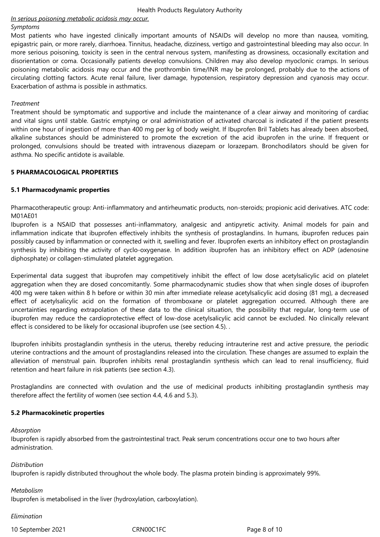# *In serious poisoning metabolic acidosis may occur.*

#### *Symptoms*

Most patients who have ingested clinically important amounts of NSAIDs will develop no more than nausea, vomiting, epigastric pain, or more rarely, diarrhoea. Tinnitus, headache, dizziness, vertigo and gastrointestinal bleeding may also occur. In more serious poisoning, toxicity is seen in the central nervous system, manifesting as drowsiness, occasionally excitation and disorientation or coma. Occasionally patients develop convulsions. Children may also develop myoclonic cramps. In serious poisoning metabolic acidosis may occur and the prothrombin time/INR may be prolonged, probably due to the actions of circulating clotting factors. Acute renal failure, liver damage, hypotension, respiratory depression and cyanosis may occur. Exacerbation of asthma is possible in asthmatics.

#### *Treatment*

Treatment should be symptomatic and supportive and include the maintenance of a clear airway and monitoring of cardiac and vital signs until stable. Gastric emptying or oral administration of activated charcoal is indicated if the patient presents within one hour of ingestion of more than 400 mg per kg of body weight. If Ibuprofen Bril Tablets has already been absorbed, alkaline substances should be administered to promote the excretion of the acid ibuprofen in the urine. If frequent or prolonged, convulsions should be treated with intravenous diazepam or lorazepam. Bronchodilators should be given for asthma. No specific antidote is available.

#### **5 PHARMACOLOGICAL PROPERTIES**

# **5.1 Pharmacodynamic properties**

Pharmacotherapeutic group: Anti-inflammatory and antirheumatic products, non-steroids; propionic acid derivatives. ATC code: M01AE01

Ibuprofen is a NSAID that possesses anti-inflammatory, analgesic and antipyretic activity. Animal models for pain and inflammation indicate that ibuprofen effectively inhibits the synthesis of prostaglandins. In humans, ibuprofen reduces pain possibly caused by inflammation or connected with it, swelling and fever. Ibuprofen exerts an inhibitory effect on prostaglandin synthesis by inhibiting the activity of cyclo-oxygenase. In addition ibuprofen has an inhibitory effect on ADP (adenosine diphosphate) or collagen-stimulated platelet aggregation.

Experimental data suggest that ibuprofen may competitively inhibit the effect of low dose acetylsalicylic acid on platelet aggregation when they are dosed concomitantly. Some pharmacodynamic studies show that when single doses of ibuprofen 400 mg were taken within 8 h before or within 30 min after immediate release acetylsalicylic acid dosing (81 mg), a decreased effect of acetylsalicylic acid on the formation of thromboxane or platelet aggregation occurred. Although there are uncertainties regarding extrapolation of these data to the clinical situation, the possibility that regular, long-term use of ibuprofen may reduce the cardioprotective effect of low-dose acetylsalicylic acid cannot be excluded. No clinically relevant effect is considered to be likely for occasional ibuprofen use (see section 4.5). .

Ibuprofen inhibits prostaglandin synthesis in the uterus, thereby reducing intrauterine rest and active pressure, the periodic uterine contractions and the amount of prostaglandins released into the circulation. These changes are assumed to explain the alleviation of menstrual pain. Ibuprofen inhibits renal prostaglandin synthesis which can lead to renal insufficiency, fluid retention and heart failure in risk patients (see section 4.3).

Prostaglandins are connected with ovulation and the use of medicinal products inhibiting prostaglandin synthesis may therefore affect the fertility of women (see section 4.4, 4.6 and 5.3).

#### **5.2 Pharmacokinetic properties**

#### *Absorption*

Ibuprofen is rapidly absorbed from the gastrointestinal tract. Peak serum concentrations occur one to two hours after administration.

*Distribution* 

Ibuprofen is rapidly distributed throughout the whole body. The plasma protein binding is approximately 99%.

#### *Metabolism*

Ibuprofen is metabolised in the liver (hydroxylation, carboxylation).

#### *Elimination*

10 September 2021 CRN00C1FC Page 8 of 10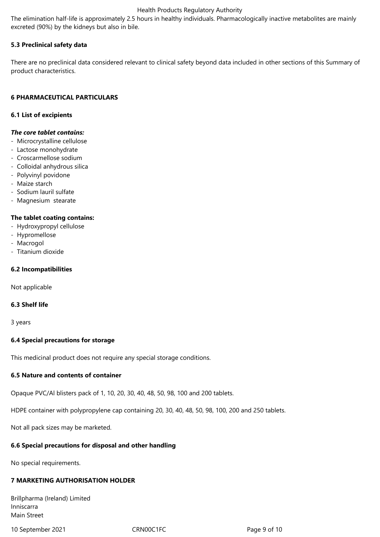The elimination half-life is approximately 2.5 hours in healthy individuals. Pharmacologically inactive metabolites are mainly excreted (90%) by the kidneys but also in bile.

# **5.3 Preclinical safety data**

There are no preclinical data considered relevant to clinical safety beyond data included in other sections of this Summary of product characteristics.

### **6 PHARMACEUTICAL PARTICULARS**

### **6.1 List of excipients**

# *The core tablet contains:*

- Microcrystalline cellulose
- Lactose monohydrate
- Croscarmellose sodium
- Colloidal anhydrous silica
- Polyvinyl povidone
- Maize starch
- Sodium lauril sulfate
- Magnesium stearate

#### **The tablet coating contains:**

- Hydroxypropyl cellulose
- Hypromellose
- Macrogol
- Titanium dioxide

### **6.2 Incompatibilities**

Not applicable

#### **6.3 Shelf life**

3 years

#### **6.4 Special precautions for storage**

This medicinal product does not require any special storage conditions.

# **6.5 Nature and contents of container**

Opaque PVC/Al blisters pack of 1, 10, 20, 30, 40, 48, 50, 98, 100 and 200 tablets.

HDPE container with polypropylene cap containing 20, 30, 40, 48, 50, 98, 100, 200 and 250 tablets.

Not all pack sizes may be marketed.

#### **6.6 Special precautions for disposal and other handling**

No special requirements.

# **7 MARKETING AUTHORISATION HOLDER**

| Brillpharma (Ireland) Limited |  |
|-------------------------------|--|
| Inniscarra                    |  |
| Main Street                   |  |

10 September 2021 CRN00C1FC Page 9 of 10